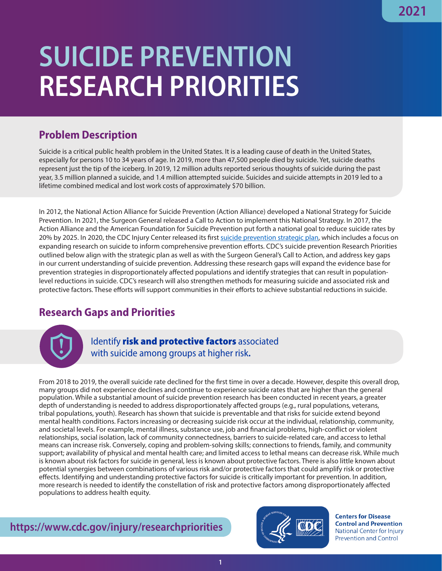## **SUICIDE PREVENTION RESEARCH PRIORITIES**

## **Problem Description**

Suicide is a critical public health problem in the United States. It is a leading cause of death in the United States, especially for persons 10 to 34 years of age. In 2019, more than 47,500 people died by suicide. Yet, suicide deaths represent just the tip of the iceberg. In 2019, 12 million adults reported serious thoughts of suicide during the past year, 3.5 million planned a suicide, and 1.4 million attempted suicide. Suicides and suicide attempts in 2019 led to a lifetime combined medical and lost work costs of approximately \$70 billion.

In 2012, the National Action Alliance for Suicide Prevention (Action Alliance) developed a National Strategy for Suicide Prevention. In 2021, the Surgeon General released a Call to Action to implement this National Strategy. In 2017, the Action Alliance and the American Foundation for Suicide Prevention put forth a national goal to reduce suicide rates by 20% by 2025. In 2020, the CDC Injury Center released its first [suicide prevention strategic plan](https://www.cdc.gov/suicide/pdf/SuicidePrevention_StrategicPlan-508.pdf), which includes a focus on expanding research on suicide to inform comprehensive prevention efforts. CDC's suicide prevention Research Priorities outlined below align with the strategic plan as well as with the Surgeon General's Call to Action, and address key gaps in our current understanding of suicide prevention. Addressing these research gaps will expand the evidence base for prevention strategies in disproportionately affected populations and identify strategies that can result in populationlevel reductions in suicide. CDC's research will also strengthen methods for measuring suicide and associated risk and protective factors. These efforts will support communities in their efforts to achieve substantial reductions in suicide.

## **Research Gaps and Priorities**



Identify risk and protective factors associated with suicide among groups at higher risk**.**

From 2018 to 2019, the overall suicide rate declined for the first time in over a decade. However, despite this overall drop, many groups did not experience declines and continue to experience suicide rates that are higher than the general population. While a substantial amount of suicide prevention research has been conducted in recent years, a greater depth of understanding is needed to address disproportionately affected groups (e.g., rural populations, veterans, tribal populations, youth). Research has shown that suicide is preventable and that risks for suicide extend beyond mental health conditions. Factors increasing or decreasing suicide risk occur at the individual, relationship, community, and societal levels. For example, mental illness, substance use, job and financial problems, high-conflict or violent relationships, social isolation, lack of community connectedness, barriers to suicide-related care, and access to lethal means can increase risk. Conversely, coping and problem-solving skills; connections to friends, family, and community support; availability of physical and mental health care; and limited access to lethal means can decrease risk. While much is known about risk factors for suicide in general, less is known about protective factors. There is also little known about potential synergies between combinations of various risk and/or protective factors that could amplify risk or protective effects. Identifying and understanding protective factors for suicide is critically important for prevention. In addition, more research is needed to identify the constellation of risk and protective factors among disproportionately affected populations to address health equity.

**https://www.cdc.gov/injury/researchpriorities**



**Centers for Disease Control and Prevention** National Center for Injury **Prevention and Control**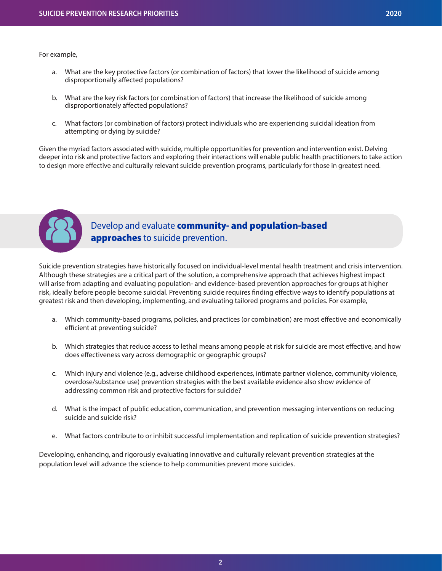For example,

- a. What are the key protective factors (or combination of factors) that lower the likelihood of suicide among disproportionally affected populations?
- b. What are the key risk factors (or combination of factors) that increase the likelihood of suicide among disproportionately affected populations?
- c. What factors (or combination of factors) protect individuals who are experiencing suicidal ideation from attempting or dying by suicide?

Given the myriad factors associated with suicide, multiple opportunities for prevention and intervention exist. Delving deeper into risk and protective factors and exploring their interactions will enable public health practitioners to take action to design more effective and culturally relevant suicide prevention programs, particularly for those in greatest need.



## Develop and evaluate **community- and population-based** approaches to suicide prevention.

Suicide prevention strategies have historically focused on individual-level mental health treatment and crisis intervention. Although these strategies are a critical part of the solution, a comprehensive approach that achieves highest impact will arise from adapting and evaluating population- and evidence-based prevention approaches for groups at higher risk, ideally before people become suicidal. Preventing suicide requires finding effective ways to identify populations at greatest risk and then developing, implementing, and evaluating tailored programs and policies. For example,

- a. Which community-based programs, policies, and practices (or combination) are most effective and economically efficient at preventing suicide?
- b. Which strategies that reduce access to lethal means among people at risk for suicide are most effective, and how does effectiveness vary across demographic or geographic groups?
- c. Which injury and violence (e.g., adverse childhood experiences, intimate partner violence, community violence, overdose/substance use) prevention strategies with the best available evidence also show evidence of addressing common risk and protective factors for suicide?
- d. What is the impact of public education, communication, and prevention messaging interventions on reducing suicide and suicide risk?
- e. What factors contribute to or inhibit successful implementation and replication of suicide prevention strategies?

Developing, enhancing, and rigorously evaluating innovative and culturally relevant prevention strategies at the population level will advance the science to help communities prevent more suicides.